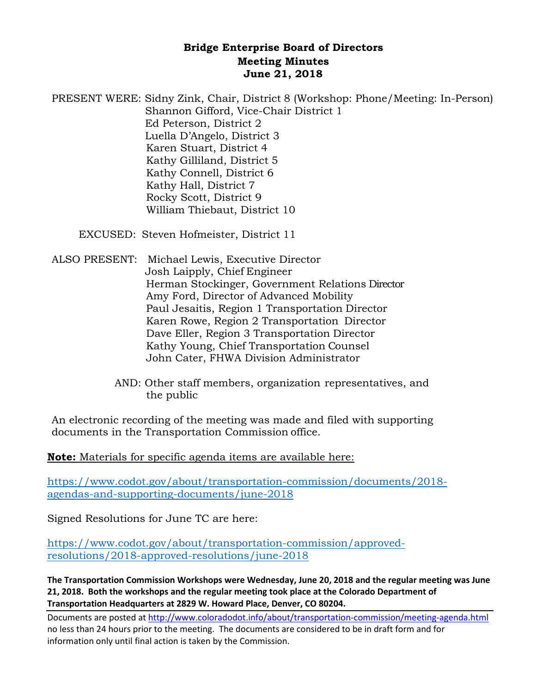## **Bridge Enterprise Board of Directors Meeting Minutes June 21, 2018**

PRESENT WERE: Sidny Zink, Chair, District 8 (Workshop: Phone/Meeting: In-Person) Shannon Gifford, Vice-Chair District 1 Ed Peterson, District 2 Luella D'Angelo, District 3 Karen Stuart, District 4 Kathy Gilliland, District 5 Kathy Connell, District 6 Kathy Hall, District 7 Rocky Scott, District 9 William Thiebaut, District 10

EXCUSED: Steven Hofmeister, District 11

ALSO PRESENT: Michael Lewis, Executive Director Josh Laipply, Chief Engineer Herman Stockinger, Government Relations Director Amy Ford, Director of Advanced Mobility Paul Jesaitis, Region 1 Transportation Director Karen Rowe, Region 2 Transportation Director Dave Eller, Region 3 Transportation Director Kathy Young, Chief Transportation Counsel John Cater, FHWA Division Administrator

> AND: Other staff members, organization representatives, and the public

An electronic recording of the meeting was made and filed with supporting documents in the Transportation Commission office.

**Note:** Materials for specific agenda items are available here:

[https://www.codot.gov/about/transportation-commission/documents/2018](https://www.codot.gov/about/transportation-commission/documents/2018-agendas-and-supporting-documents/june-2018) [agendas-and-supporting-documents/june-2018](https://www.codot.gov/about/transportation-commission/documents/2018-agendas-and-supporting-documents/june-2018)

Signed Resolutions for June TC are here:

[https://www.codot.gov/about/transportation-commission/approved](https://www.codot.gov/about/transportation-commission/approved-resolutions/2018-approved-resolutions/june-2018)[resolutions/2018-approved-resolutions/june-2018](https://www.codot.gov/about/transportation-commission/approved-resolutions/2018-approved-resolutions/june-2018)

**The Transportation Commission Workshops were Wednesday, June 20, 2018 and the regular meeting was June 21, 2018. Both the workshops and the regular meeting took place at the Colorado Department of Transportation Headquarters at 2829 W. Howard Place, Denver, CO 80204.**

Documents are posted at http://www.coloradodot.info/about/transportation-commission/meeting-agenda.html no less than 24 hours prior to the meeting. The documents are considered to be in draft form and for information only until final action is taken by the Commission.